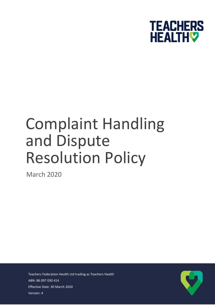

# Complaint Handling and Dispute Resolution Policy

March 2020

Teachers Federation Health Ltd trading as Teachers Health ABN: 86 097 030 414 Effective Date: 30 March 2020 Version: 4

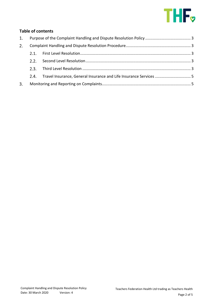

## **Table of contents**

| 1. |      |                                                                   |  |
|----|------|-------------------------------------------------------------------|--|
| 2. |      |                                                                   |  |
|    |      |                                                                   |  |
|    | 2.2  |                                                                   |  |
|    | 2.3. |                                                                   |  |
|    | 2.4. | Travel Insurance, General Insurance and Life Insurance Services 5 |  |
| 3. |      |                                                                   |  |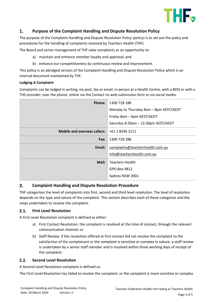

### <span id="page-2-0"></span>1. **Purpose of the Complaint Handling and Dispute Resolution Policy**

The purpose of the Complaint Handling and Dispute Resolution Policy (policy) is to set out the policy and procedures for the handling of complaints received by Teachers Health (THF).

The Board and senior management of THF view complaints as an opportunity to:

- a) maintain and enhance member loyalty and approval; and
- b) enhance our competitiveness by continuous review and improvement.

This policy is an abridged version of the Complaint Handling and Dispute Resolution Policy which is an internal document maintained by THF.

## **Lodging A Complaint**

Complaints can be lodged in writing, via post, fax or email; in person at a Health Centre, with a BDO or with a THS provider; over the phone; online via the Contact Us web submission form or via social media.

| Phone:                              | 1300 728 188                           |
|-------------------------------------|----------------------------------------|
|                                     | Monday to Thursday 8am - 8pm AEST/AEDT |
|                                     | Friday 8am - 6pm AEST/AEDT             |
|                                     | Saturday 8:30am - 12:30pm AEST/AEDT    |
| <b>Mobile and overseas callers:</b> | +61 2 8346 2111                        |
| Fax:                                | 1300 728 388                           |
| Email:                              | complaints@teachershealth.com.au       |
|                                     | info@teachershealth.com.au             |
| Mail:                               | <b>Teachers Health</b>                 |
|                                     | <b>GPO Box 9812</b>                    |
|                                     | Sydney NSW 2001                        |

#### <span id="page-2-1"></span> $2.$ **Complaint Handling and Dispute Resolution Procedure**

<span id="page-2-2"></span>THF categorises the level of complaints into first, second and third level resolution. The level of resolution depends on the type and nature of the complaint. This section describes each of these categories and the steps undertaken to resolve the complaint.

#### $2.1.$ **First Level Resolution**

<span id="page-2-3"></span>A First Level Resolution complaint is defined as either:

- a) First Contact Resolution: the complaint is resolved at the time of contact, through the relevant communication channel; or
- b) Staff Review: if the resolution offered at first contact did not resolve the complaint to the satisfaction of the complainant or the complaint is sensitive or complex in nature, a staff review is undertaken by a senior staff member and is resolved within three working days of receipt of the complaint.

#### $2.2.$ **Second Level Resolution**

A Second Level Resolution complaint is defined as:

<span id="page-2-4"></span>The First Level Resolution has failed to resolve the complaint, or the complaint is more sensitive or complex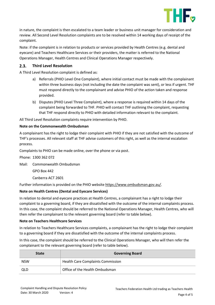

in nature, the complaint is then escalated to a team leader or business unit manager for consideration and review. All Second Level Resolution complaints are to be resolved within 14 working days of receipt of the complaint.

Note: if the complaint is in relation to products or services provided by Health Centres (e.g. dental and eyecare) and Teachers Healthcare Services or their providers, the matter is referred to the National Operations Manager, Health Centres and Clinical Operations Manager respectively.

#### $2.3.$ **Third Level Resolution**

A Third Level Resolution complaint is defined as:

- a) Referrals (PHIO Level One Complaint), where initial contact must be made with the complainant within three business days (not including the date the complaint was sent), or less if urgent. THF must respond directly to the complainant and advise PHIO of the action taken and response provided.
- b) Disputes (PHIO Level Three Complaint), where a response is required within 14 days of the complaint being forwarded to THF. PHIO will contact THF outlining the complaint, requesting that THF respond directly to PHIO with detailed information relevant to the complaint.

All Third Level Resolution complaints require intervention by PHIO.

## **Note on the Commonwealth Ombudsman**

A complainant has the right to lodge their complaint with PHIO if they are not satisfied with the outcome of THF's processes. All relevant staff at THF advise customers of this right, as well as the internal escalation process.

Complaints to PHIO can be made online, over the phone or via post.

Phone: 1300 362 072

Mail: Commonwealth Ombudsman

GPO Box 442

Canberra ACT 2601

Further information is provided on the PHIO websit[e https://www.ombudsman.gov.au/.](https://www.ombudsman.gov.au/)

## **Note on Health Centres (Dental and Eyecare Services)**

In relation to dental and eyecare practices at Health Centres, a complainant has a right to lodge their complaint to a governing board, if they are dissatisfied with the outcome of the internal complaints process. In this case, the complaint should be referred to the National Operations Manager, Health Centres, who will then refer the complainant to the relevant governing board (refer to table below).

## **Note on Teachers Healthcare Services**

In relation to Teachers Healthcare Services complaints, a complainant has the right to lodge their complaint to a governing board if they are dissatisfied with the outcome of the internal complaints process.

In this case, the complaint should be referred to the Clinical Operations Manager, who will then refer the complainant to the relevant governing board (refer to table below).

| <b>State</b> | <b>Governing Board</b>                   |
|--------------|------------------------------------------|
| <b>NSW</b>   | <b>Health Care Complaints Commission</b> |
| QLD          | Office of the Health Ombudsman           |